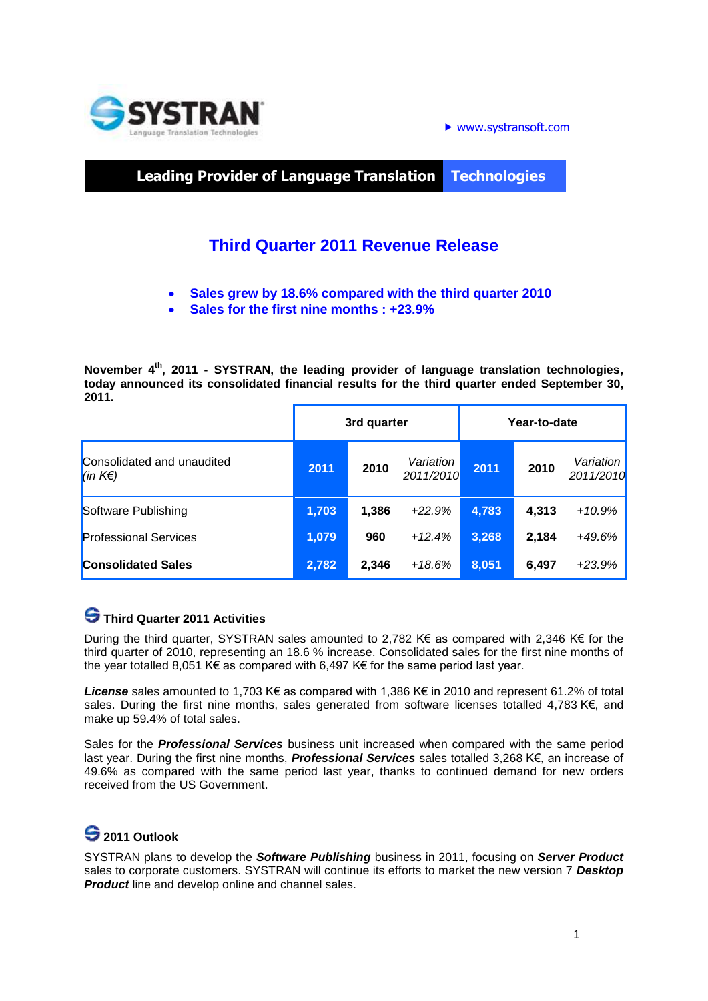

**Leading Provider of Language Translation Technologies**

## **Third Quarter 2011 Revenue Release**

- **Sales grew by 18.6% compared with the third quarter 2010**
- **Sales for the first nine months : +23.9%**

November 4<sup>th</sup>, 2011 - SYSTRAN, the leading provider of language translation technologies, **today announced its consolidated financial results for the third quarter ended September 30, 2011.** 

|                                                          | 3rd quarter |       |                        | Year-to-date |       |                        |
|----------------------------------------------------------|-------------|-------|------------------------|--------------|-------|------------------------|
| Consolidated and unaudited<br>$\vert$ (in K $\epsilon$ ) | 2011        | 2010  | Variation<br>2011/2010 | 2011         | 2010  | Variation<br>2011/2010 |
| Software Publishing                                      | 1,703       | 1,386 | $+22.9%$               | 4,783        | 4,313 | $+10.9%$               |
| <b>Professional Services</b>                             | 1,079       | 960   | $+12.4%$               | 3,268        | 2,184 | +49.6%                 |
| <b>Consolidated Sales</b>                                | 2,782       | 2,346 | $+18.6%$               | 8,051        | 6,497 | $+23.9%$               |

### **Third Quarter 2011 Activities**

During the third quarter, SYSTRAN sales amounted to 2,782 K€ as compared with 2,346 K€ for the third quarter of 2010, representing an 18.6 % increase. Consolidated sales for the first nine months of the year totalled 8,051 K€ as compared with 6,497 K€ for the same period last year.

*License* sales amounted to 1,703 K€ as compared with 1,386 K€ in 2010 and represent 61.2% of total sales. During the first nine months, sales generated from software licenses totalled 4,783 K€, and make up 59.4% of total sales.

Sales for the *Professional Services* business unit increased when compared with the same period last year. During the first nine months, *Professional Services* sales totalled 3,268 K€, an increase of 49.6% as compared with the same period last year, thanks to continued demand for new orders received from the US Government.

# **2011 Outlook**

SYSTRAN plans to develop the *Software Publishing* business in 2011, focusing on *Server Product* sales to corporate customers. SYSTRAN will continue its efforts to market the new version 7 *Desktop Product* line and develop online and channel sales.